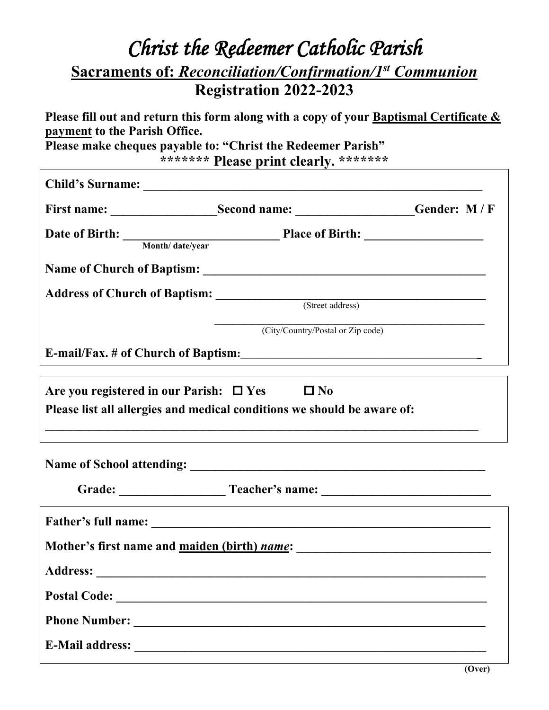## *Christ the Redeemer Catholic Parish* **Sacraments of:** *Reconciliation/Confirmation/1st Communion* **Registration 2022-2023**

**Please fill out and return this form along with a copy of your Baptismal Certificate & payment to the Parish Office.**

**Please make cheques payable to: "Christ the Redeemer Parish" \*\*\*\*\*\*\* Please print clearly. \*\*\*\*\*\*\***

|                 | Date of Birth: <u>Month/date/year</u> Place of Birth:                   |  |  |  |  |  |
|-----------------|-------------------------------------------------------------------------|--|--|--|--|--|
|                 |                                                                         |  |  |  |  |  |
|                 | Address of Church of Baptism: (Street address)                          |  |  |  |  |  |
|                 |                                                                         |  |  |  |  |  |
|                 | (City/Country/Postal or Zip code)                                       |  |  |  |  |  |
|                 |                                                                         |  |  |  |  |  |
|                 | Please list all allergies and medical conditions we should be aware of: |  |  |  |  |  |
|                 |                                                                         |  |  |  |  |  |
|                 |                                                                         |  |  |  |  |  |
|                 | Mother's first name and <u>maiden (birth) name</u> :                    |  |  |  |  |  |
| <b>Address:</b> |                                                                         |  |  |  |  |  |
|                 |                                                                         |  |  |  |  |  |
|                 |                                                                         |  |  |  |  |  |
|                 |                                                                         |  |  |  |  |  |